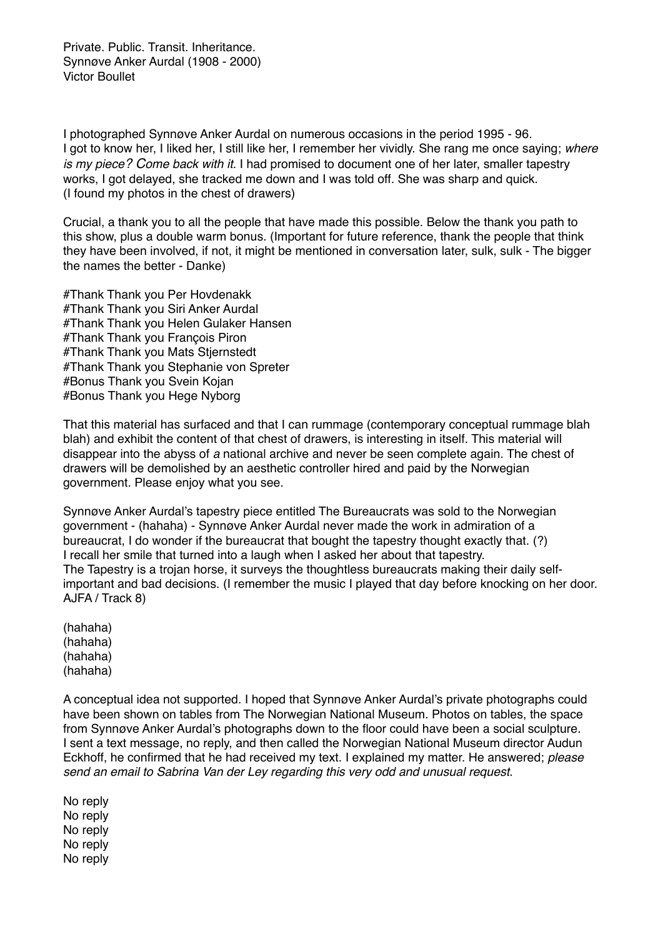Private. Public. Transit. Inheritance. Synnøve Anker Aurdal (1908 - 2000) Victor Boullet

I photographed Synnøve Anker Aurdal on numerous occasions in the period 1995 - 96. I got to know her, I liked her, I still like her, I remember her vividly. She rang me once saying; *where is my piece? Come back with it*. I had promised to document one of her later, smaller tapestry works, I got delayed, she tracked me down and I was told off. She was sharp and quick. (I found my photos in the chest of drawers)

Crucial, a thank you to all the people that have made this possible. Below the thank you path to this show, plus a double warm bonus. (Important for future reference, thank the people that think they have been involved, if not, it might be mentioned in conversation later, sulk, sulk - The bigger the names the better - Danke)

#Thank Thank you Per Hovdenakk #Thank Thank you Siri Anker Aurdal #Thank Thank you Helen Gulaker Hansen #Thank Thank you François Piron #Thank Thank you Mats Stjernstedt #Thank Thank you Stephanie von Spreter #Bonus Thank you Svein Kojan #Bonus Thank you Hege Nyborg

That this material has surfaced and that I can rummage (contemporary conceptual rummage blah blah) and exhibit the content of that chest of drawers, is interesting in itself. This material will disappear into the abyss of *a* national archive and never be seen complete again. The chest of drawers will be demolished by an aesthetic controller hired and paid by the Norwegian government. Please enjoy what you see.

Synnøve Anker Aurdal's tapestry piece entitled The Bureaucrats was sold to the Norwegian government - (hahaha) - Synnøve Anker Aurdal never made the work in admiration of a bureaucrat, I do wonder if the bureaucrat that bought the tapestry thought exactly that. (?) I recall her smile that turned into a laugh when I asked her about that tapestry. The Tapestry is a trojan horse, it surveys the thoughtless bureaucrats making their daily selfimportant and bad decisions. (I remember the music I played that day before knocking on her door. AJFA / Track 8)

(hahaha) (hahaha) (hahaha) (hahaha)

A conceptual idea not supported. I hoped that Synnøve Anker Aurdal's private photographs could have been shown on tables from The Norwegian National Museum. Photos on tables, the space from Synnøve Anker Aurdal's photographs down to the floor could have been a social sculpture. I sent a text message, no reply, and then called the Norwegian National Museum director Audun Eckhoff, he confirmed that he had received my text. I explained my matter. He answered; *please send an email to Sabrina Van der Ley regarding this very odd and unusual request*.

No reply No reply No reply No reply No reply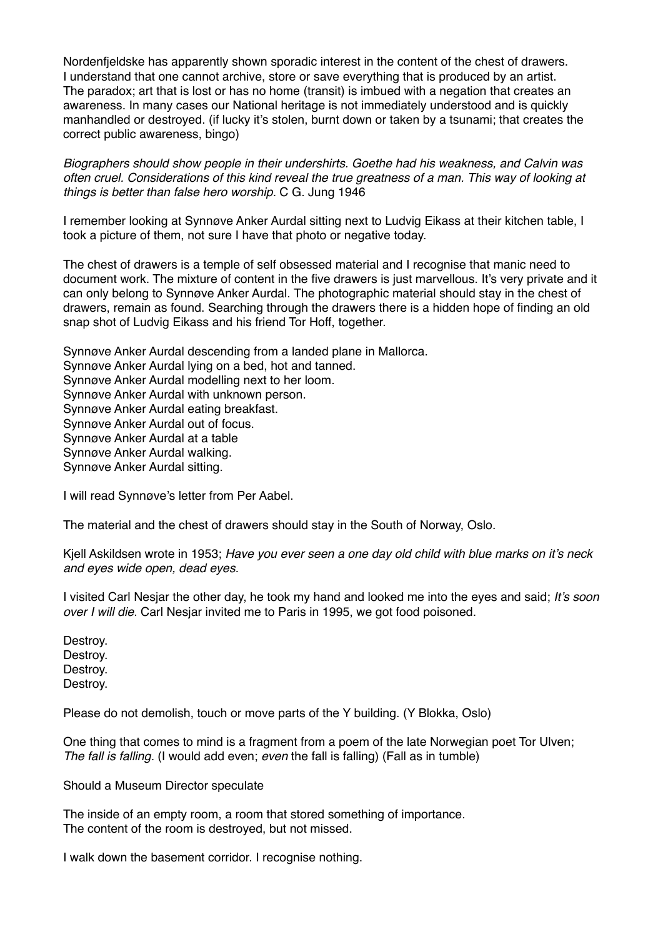Nordenfjeldske has apparently shown sporadic interest in the content of the chest of drawers. I understand that one cannot archive, store or save everything that is produced by an artist. The paradox; art that is lost or has no home (transit) is imbued with a negation that creates an awareness. In many cases our National heritage is not immediately understood and is quickly manhandled or destroyed. (if lucky it's stolen, burnt down or taken by a tsunami; that creates the correct public awareness, bingo)

*Biographers should show people in their undershirts. Goethe had his weakness, and Calvin was often cruel. Considerations of this kind reveal the true greatness of a man. This way of looking at things is better than false hero worship.* C G. Jung 1946

I remember looking at Synnøve Anker Aurdal sitting next to Ludvig Eikass at their kitchen table, I took a picture of them, not sure I have that photo or negative today.

The chest of drawers is a temple of self obsessed material and I recognise that manic need to document work. The mixture of content in the five drawers is just marvellous. It's very private and it can only belong to Synnøve Anker Aurdal. The photographic material should stay in the chest of drawers, remain as found. Searching through the drawers there is a hidden hope of finding an old snap shot of Ludvig Eikass and his friend Tor Hoff, together.

Synnøve Anker Aurdal descending from a landed plane in Mallorca. Synnøve Anker Aurdal lying on a bed, hot and tanned. Synnøve Anker Aurdal modelling next to her loom. Synnøve Anker Aurdal with unknown person. Synnøve Anker Aurdal eating breakfast. Synnøve Anker Aurdal out of focus. Synnøve Anker Aurdal at a table Synnøve Anker Aurdal walking. Synnøve Anker Aurdal sitting.

I will read Synnøve's letter from Per Aabel.

The material and the chest of drawers should stay in the South of Norway, Oslo.

Kjell Askildsen wrote in 1953; *Have you ever seen a one day old child with blue marks on it's neck and eyes wide open, dead eyes.*

I visited Carl Nesjar the other day, he took my hand and looked me into the eyes and said; *It's soon over I will die*. Carl Nesjar invited me to Paris in 1995, we got food poisoned.

Destroy. Destroy. Destroy. Destroy.

Please do not demolish, touch or move parts of the Y building. (Y Blokka, Oslo)

One thing that comes to mind is a fragment from a poem of the late Norwegian poet Tor Ulven; *The fall is falling.* (I would add even; *even* the fall is falling) (Fall as in tumble)

Should a Museum Director speculate

The inside of an empty room, a room that stored something of importance. The content of the room is destroyed, but not missed.

I walk down the basement corridor. I recognise nothing.